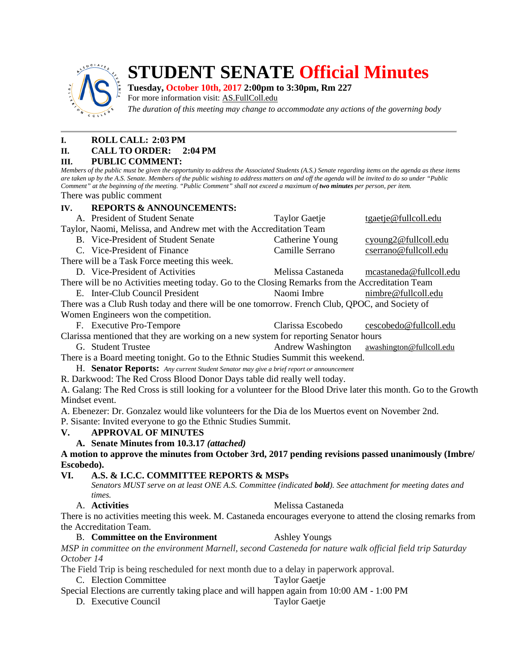

# **STUDENT SENATE Official Minutes**

## **Tuesday, October 10th, 2017 2:00pm to 3:30pm, Rm 227**

For more information visit: AS.FullColl.edu

*The duration of this meeting may change to accommodate any actions of the governing body*

## **I. ROLL CALL: 2:03 PM**

#### **II. CALL TO ORDER: 2:04 PM**

#### **III. PUBLIC COMMENT:**

*Members of the public must be given the opportunity to address the Associated Students (A.S.) Senate regarding items on the agenda as these items are taken up by the A.S. Senate. Members of the public wishing to address matters on and off the agenda will be invited to do so under "Public Comment" at the beginning of the meeting. "Public Comment" shall not exceed a maximum of two minutes per person, per item.* There was public comment

**IV. REPORTS & ANNOUNCEMENTS:**

|                                                                                                                  | A. President of Student Senate                                                                            | <b>Taylor Gaetje</b>     | tgaetje@fullcoll.edu     |
|------------------------------------------------------------------------------------------------------------------|-----------------------------------------------------------------------------------------------------------|--------------------------|--------------------------|
| Taylor, Naomi, Melissa, and Andrew met with the Accreditation Team                                               |                                                                                                           |                          |                          |
|                                                                                                                  | B. Vice-President of Student Senate                                                                       | Catherine Young          | cyoung2@fullcoll.edu     |
|                                                                                                                  | C. Vice-President of Finance                                                                              | Camille Serrano          | cserrano@fullcoll.edu    |
|                                                                                                                  | There will be a Task Force meeting this week.                                                             |                          |                          |
|                                                                                                                  | D. Vice-President of Activities                                                                           | Melissa Castaneda        | mcastaneda@fullcoll.edu  |
| There will be no Activities meeting today. Go to the Closing Remarks from the Accreditation Team                 |                                                                                                           |                          |                          |
|                                                                                                                  | E. Inter-Club Council President                                                                           | Naomi Imbre              | nimbre@fullcoll.edu      |
| There was a Club Rush today and there will be one tomorrow. French Club, QPOC, and Society of                    |                                                                                                           |                          |                          |
| Women Engineers won the competition.                                                                             |                                                                                                           |                          |                          |
|                                                                                                                  | F. Executive Pro-Tempore                                                                                  | Clarissa Escobedo        | cescobedo@fullcoll.edu   |
| Clarissa mentioned that they are working on a new system for reporting Senator hours                             |                                                                                                           |                          |                          |
|                                                                                                                  | G. Student Trustee                                                                                        | <b>Andrew Washington</b> | awashington@fullcoll.edu |
| There is a Board meeting tonight. Go to the Ethnic Studies Summit this weekend.                                  |                                                                                                           |                          |                          |
| H. Senator Reports: Any current Student Senator may give a brief report or announcement                          |                                                                                                           |                          |                          |
| R. Darkwood: The Red Cross Blood Donor Days table did really well today.                                         |                                                                                                           |                          |                          |
| A. Galang: The Red Cross is still looking for a volunteer for the Blood Drive later this month. Go to the Growth |                                                                                                           |                          |                          |
| Mindset event.                                                                                                   |                                                                                                           |                          |                          |
| A. Ebenezer: Dr. Gonzalez would like volunteers for the Dia de los Muertos event on November 2nd.                |                                                                                                           |                          |                          |
| P. Sisante: Invited everyone to go the Ethnic Studies Summit.                                                    |                                                                                                           |                          |                          |
| V.                                                                                                               | <b>APPROVAL OF MINUTES</b>                                                                                |                          |                          |
|                                                                                                                  | A. Senate Minutes from 10.3.17 (attached)                                                                 |                          |                          |
| A motion to approve the minutes from October 3rd, 2017 pending revisions passed unanimously (Imbre/              |                                                                                                           |                          |                          |
| Escobedo).                                                                                                       |                                                                                                           |                          |                          |
| A.S. & I.C.C. COMMITTEE REPORTS & MSPs<br>VI.                                                                    |                                                                                                           |                          |                          |
|                                                                                                                  | Senators MUST serve on at least ONE A.S. Committee (indicated bold). See attachment for meeting dates and |                          |                          |
|                                                                                                                  | times.                                                                                                    |                          |                          |
|                                                                                                                  | A. Activities                                                                                             | Melissa Castaneda        |                          |
| There is no activities meeting this week. M. Castaneda encourages everyone to attend the closing remarks from    |                                                                                                           |                          |                          |
|                                                                                                                  | the Accreditation Team.                                                                                   |                          |                          |
|                                                                                                                  | <b>B.</b> Committee on the Environment                                                                    | <b>Ashley Youngs</b>     |                          |
| MSP in committee on the environment Marnell, second Casteneda for nature walk official field trip Saturday       |                                                                                                           |                          |                          |
| October 14                                                                                                       |                                                                                                           |                          |                          |
| The Field Trip is being rescheduled for next month due to a delay in paperwork approval.                         |                                                                                                           |                          |                          |
| C. Election Committee<br><b>Taylor Gaetje</b>                                                                    |                                                                                                           |                          |                          |
| Special Elections are currently taking place and will happen again from 10:00 AM - 1:00 PM                       |                                                                                                           |                          |                          |
|                                                                                                                  | D. Executive Council                                                                                      | <b>Taylor Gaetje</b>     |                          |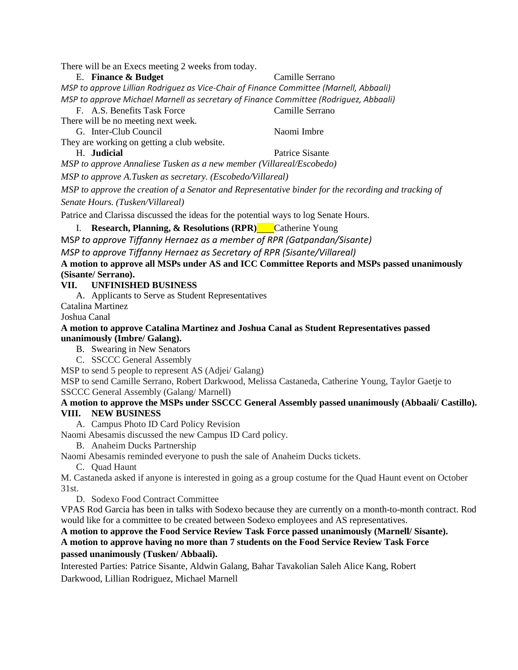There will be an Execs meeting 2 weeks from today.

E. **Finance & Budget** Camille Serrano *MSP to approve Lillian Rodriguez as Vice-Chair of Finance Committee (Marnell, Abbaali) MSP to approve Michael Marnell as secretary of Finance Committee (Rodriguez, Abbaali)*

F. A.S. Benefits Task Force Camille Serrano There will be no meeting next week. G. Inter-Club Council Naomi Imbre They are working on getting a club website. H. **Judicial** Patrice Sisante *MSP to approve Annaliese Tusken as a new member (Villareal/Escobedo) MSP to approve A.Tusken as secretary. (Escobedo/Villareal) MSP to approve the creation of a Senator and Representative binder for the recording and tracking of Senate Hours. (Tusken/Villareal)*

Patrice and Clarissa discussed the ideas for the potential ways to log Senate Hours.

I. **Research, Planning, & Resolutions (RPR)** Catherine Young

MS*P to approve Tiffanny Hernaez as a member of RPR (Gatpandan/Sisante)*

*MSP to approve Tiffanny Hernaez as Secretary of RPR (Sisante/Villareal)*

**A motion to approve all MSPs under AS and ICC Committee Reports and MSPs passed unanimously (Sisante/ Serrano).**

#### **VII. UNFINISHED BUSINESS**

A. Applicants to Serve as Student Representatives

Catalina Martinez

Joshua Canal

**A motion to approve Catalina Martinez and Joshua Canal as Student Representatives passed unanimously (Imbre/ Galang).**

B. Swearing in New Senators

C. SSCCC General Assembly

MSP to send 5 people to represent AS (Adjei/ Galang)

MSP to send Camille Serrano, Robert Darkwood, Melissa Castaneda, Catherine Young, Taylor Gaetje to SSCCC General Assembly (Galang/ Marnell)

#### **A motion to approve the MSPs under SSCCC General Assembly passed unanimously (Abbaali/ Castillo). VIII. NEW BUSINESS**

A. Campus Photo ID Card Policy Revision

Naomi Abesamis discussed the new Campus ID Card policy.

B. Anaheim Ducks Partnership

Naomi Abesamis reminded everyone to push the sale of Anaheim Ducks tickets.

C. Quad Haunt

M. Castaneda asked if anyone is interested in going as a group costume for the Quad Haunt event on October 31st.

D. Sodexo Food Contract Committee

VPAS Rod Garcia has been in talks with Sodexo because they are currently on a month-to-month contract. Rod would like for a committee to be created between Sodexo employees and AS representatives.

#### **A motion to approve the Food Service Review Task Force passed unanimously (Marnell/ Sisante).**

**A motion to approve having no more than 7 students on the Food Service Review Task Force passed unanimously (Tusken/ Abbaali).**

Interested Parties: Patrice Sisante, Aldwin Galang, Bahar Tavakolian Saleh Alice Kang, Robert Darkwood, Lillian Rodriguez, Michael Marnell